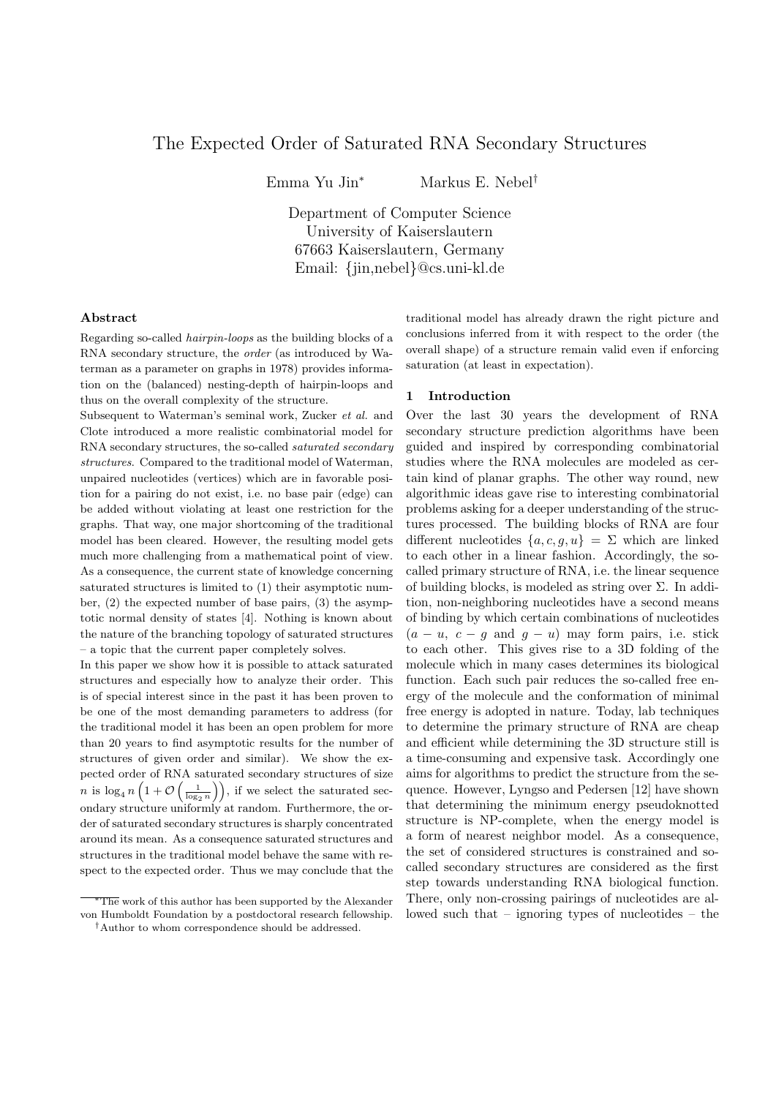# The Expected Order of Saturated RNA Secondary Structures

Emma Yu Jin*<sup>∗</sup>* Markus E. Nebel*†*

Department of Computer Science University of Kaiserslautern 67663 Kaiserslautern, Germany Email: *{*jin,nebel*}*@cs.uni-kl.de

#### **Abstract**

Regarding so-called *hairpin-loops* as the building blocks of a RNA secondary structure, the *order* (as introduced by Waterman as a parameter on graphs in 1978) provides information on the (balanced) nesting-depth of hairpin-loops and thus on the overall complexity of the structure.

Subsequent to Waterman's seminal work, Zucker *et al.* and Clote introduced a more realistic combinatorial model for RNA secondary structures, the so-called *saturated secondary structures*. Compared to the traditional model of Waterman, unpaired nucleotides (vertices) which are in favorable position for a pairing do not exist, i.e. no base pair (edge) can be added without violating at least one restriction for the graphs. That way, one major shortcoming of the traditional model has been cleared. However, the resulting model gets much more challenging from a mathematical point of view. As a consequence, the current state of knowledge concerning saturated structures is limited to (1) their asymptotic number, (2) the expected number of base pairs, (3) the asymptotic normal density of states [4]. Nothing is known about the nature of the branching topology of saturated structures – a topic that the current paper completely solves.

In this paper we show how it is possible to attack saturated structures and especially how to analyze their order. This is of special interest since in the past it has been proven to be one of the most demanding parameters to address (for the traditional model it has been an open problem for more than 20 years to find asymptotic results for the number of structures of given order and similar). We show the expected order of RNA saturated secondary structures of size *n* is  $\log_4 n \left(1 + \mathcal{O}\left(\frac{1}{\log_2 n}\right)\right)$ , if we select the saturated secondary structure uniformly at random. Furthermore, the order of saturated secondary structures is sharply concentrated around its mean. As a consequence saturated structures and structures in the traditional model behave the same with respect to the expected order. Thus we may conclude that the traditional model has already drawn the right picture and conclusions inferred from it with respect to the order (the overall shape) of a structure remain valid even if enforcing saturation (at least in expectation).

# **1 Introduction**

Over the last 30 years the development of RNA secondary structure prediction algorithms have been guided and inspired by corresponding combinatorial studies where the RNA molecules are modeled as certain kind of planar graphs. The other way round, new algorithmic ideas gave rise to interesting combinatorial problems asking for a deeper understanding of the structures processed. The building blocks of RNA are four different nucleotides  $\{a, c, g, u\} = \Sigma$  which are linked to each other in a linear fashion. Accordingly, the socalled primary structure of RNA, i.e. the linear sequence of building blocks, is modeled as string over  $\Sigma$ . In addition, non-neighboring nucleotides have a second means of binding by which certain combinations of nucleotides  $(a - u, c - g$  and  $g - u$ ) may form pairs, i.e. stick to each other. This gives rise to a 3D folding of the molecule which in many cases determines its biological function. Each such pair reduces the so-called free energy of the molecule and the conformation of minimal free energy is adopted in nature. Today, lab techniques to determine the primary structure of RNA are cheap and efficient while determining the 3D structure still is a time-consuming and expensive task. Accordingly one aims for algorithms to predict the structure from the sequence. However, Lyngso and Pedersen [12] have shown that determining the minimum energy pseudoknotted structure is NP-complete, when the energy model is a form of nearest neighbor model. As a consequence, the set of considered structures is constrained and socalled secondary structures are considered as the first step towards understanding RNA biological function. There, only non-crossing pairings of nucleotides are allowed such that – ignoring types of nucleotides – the

*<sup>∗</sup>*The work of this author has been supported by the Alexander von Humboldt Foundation by a postdoctoral research fellowship.

*<sup>†</sup>*Author to whom correspondence should be addressed.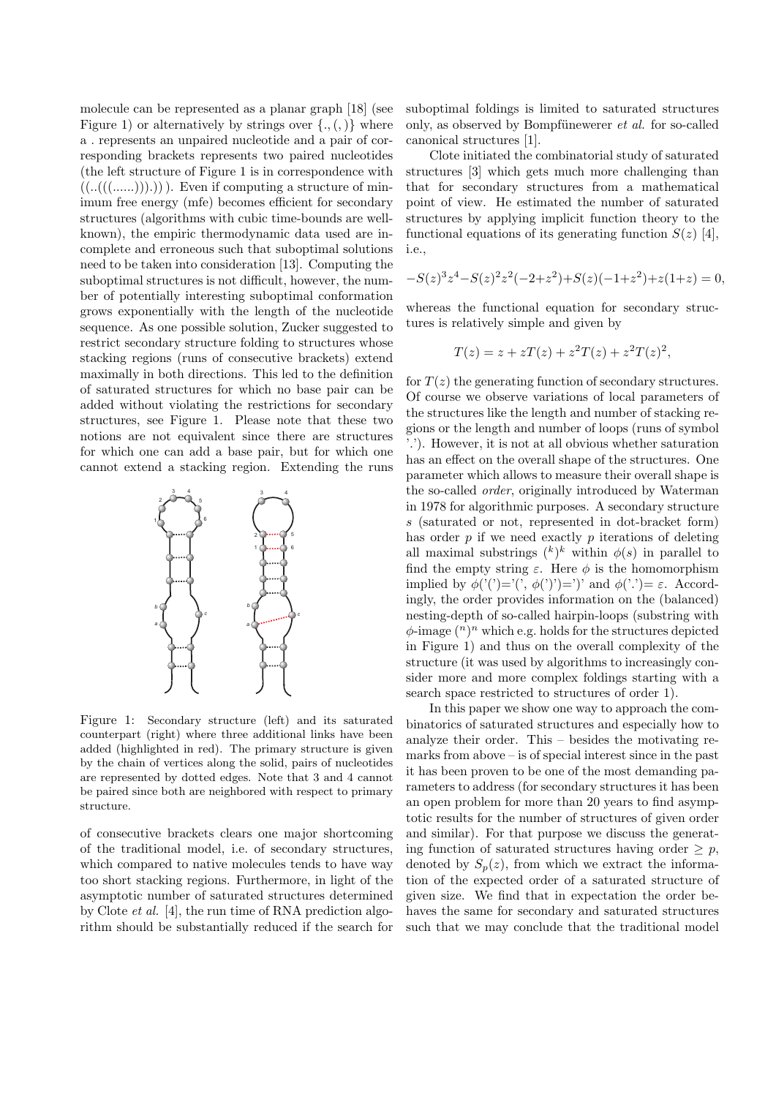molecule can be represented as a planar graph [18] (see Figure 1) or alternatively by strings over  $\{., (,) \}$  where a *.* represents an unpaired nucleotide and a pair of corresponding brackets represents two paired nucleotides (the left structure of Figure 1 is in correspondence with  $((..(((…))))))$ . Even if computing a structure of minimum free energy (mfe) becomes efficient for secondary structures (algorithms with cubic time-bounds are wellknown), the empiric thermodynamic data used are incomplete and erroneous such that suboptimal solutions need to be taken into consideration [13]. Computing the suboptimal structures is not difficult, however, the number of potentially interesting suboptimal conformation grows exponentially with the length of the nucleotide sequence. As one possible solution, Zucker suggested to restrict secondary structure folding to structures whose stacking regions (runs of consecutive brackets) extend maximally in both directions. This led to the definition of saturated structures for which no base pair can be added without violating the restrictions for secondary structures, see Figure 1. Please note that these two notions are not equivalent since there are structures for which one can add a base pair, but for which one cannot extend a stacking region. Extending the runs



Figure 1: Secondary structure (left) and its saturated counterpart (right) where three additional links have been added (highlighted in red). The primary structure is given by the chain of vertices along the solid, pairs of nucleotides are represented by dotted edges. Note that 3 and 4 cannot be paired since both are neighbored with respect to primary structure.

of consecutive brackets clears one major shortcoming of the traditional model, i.e. of secondary structures, which compared to native molecules tends to have way too short stacking regions. Furthermore, in light of the asymptotic number of saturated structures determined by Clote *et al.* [4], the run time of RNA prediction algorithm should be substantially reduced if the search for

suboptimal foldings is limited to saturated structures only, as observed by Bompfünewerer *et al.* for so-called canonical structures [1].

Clote initiated the combinatorial study of saturated structures [3] which gets much more challenging than that for secondary structures from a mathematical point of view. He estimated the number of saturated structures by applying implicit function theory to the functional equations of its generating function  $S(z)$  [4], i.e.,

$$
-S(z)^3 z^4 - S(z)^2 z^2 (-2 + z^2) + S(z)(-1+z^2) + z(1+z) = 0,
$$

whereas the functional equation for secondary structures is relatively simple and given by

$$
T(z) = z + zT(z) + z^2T(z) + z^2T(z)^2,
$$

for  $T(z)$  the generating function of secondary structures. Of course we observe variations of local parameters of the structures like the length and number of stacking regions or the length and number of loops (runs of symbol '*.*'). However, it is not at all obvious whether saturation has an effect on the overall shape of the structures. One parameter which allows to measure their overall shape is the so-called *order*, originally introduced by Waterman in 1978 for algorithmic purposes. A secondary structure *s* (saturated or not, represented in dot-bracket form) has order *p* if we need exactly *p* iterations of deleting all maximal substrings  $(k)$ <sup>k</sup> within  $\phi(s)$  in parallel to find the empty string  $\varepsilon$ . Here  $\phi$  is the homomorphism implied by  $\phi('')='(', \phi('))=')'$  and  $\phi('')= \varepsilon$ . Accordingly, the order provides information on the (balanced) nesting-depth of so-called hairpin-loops (substring with *ϕ*-image (*<sup>n</sup>*) *<sup>n</sup>* which e.g. holds for the structures depicted in Figure 1) and thus on the overall complexity of the structure (it was used by algorithms to increasingly consider more and more complex foldings starting with a search space restricted to structures of order 1).

In this paper we show one way to approach the combinatorics of saturated structures and especially how to analyze their order. This – besides the motivating remarks from above – is of special interest since in the past it has been proven to be one of the most demanding parameters to address (for secondary structures it has been an open problem for more than 20 years to find asymptotic results for the number of structures of given order and similar). For that purpose we discuss the generating function of saturated structures having order  $\geq p$ , denoted by  $S_p(z)$ , from which we extract the information of the expected order of a saturated structure of given size. We find that in expectation the order behaves the same for secondary and saturated structures such that we may conclude that the traditional model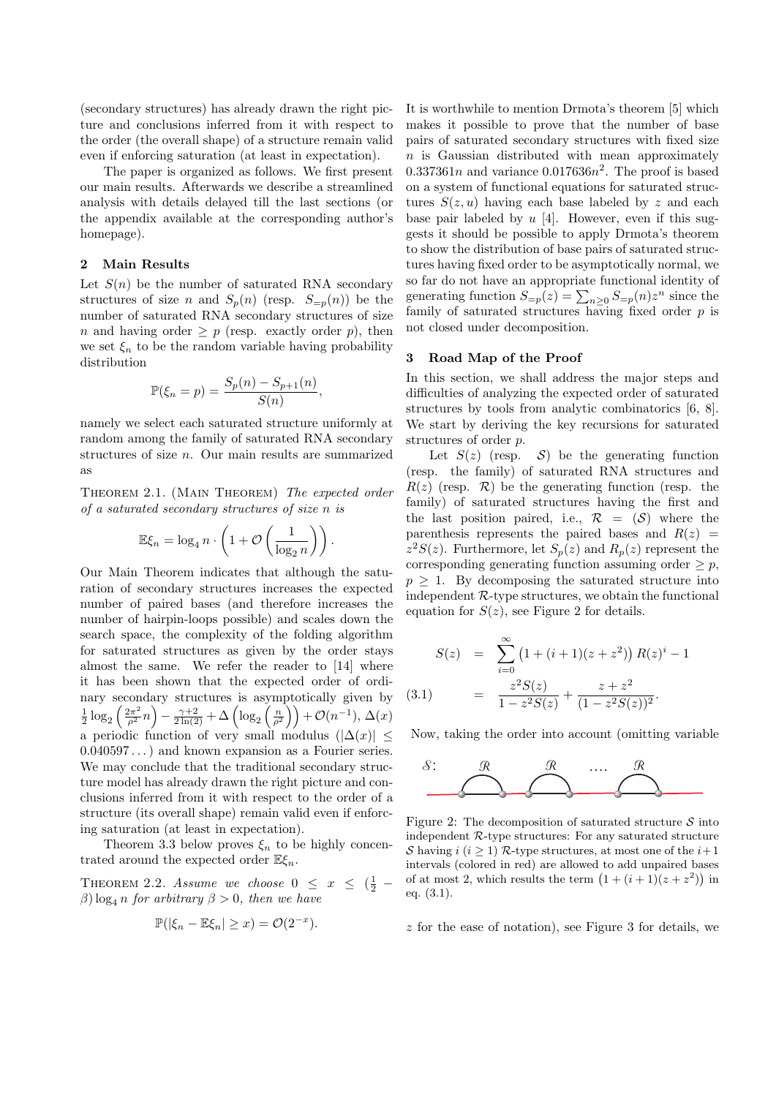(secondary structures) has already drawn the right picture and conclusions inferred from it with respect to the order (the overall shape) of a structure remain valid even if enforcing saturation (at least in expectation).

The paper is organized as follows. We first present our main results. Afterwards we describe a streamlined analysis with details delayed till the last sections (or the appendix available at the corresponding author's homepage).

### **2 Main Results**

Let  $S(n)$  be the number of saturated RNA secondary structures of size *n* and  $S_p(n)$  (resp.  $S_{=p}(n)$ ) be the number of saturated RNA secondary structures of size *n* and having order  $\geq p$  (resp. exactly order *p*), then we set  $\xi_n$  to be the random variable having probability distribution

$$
\mathbb{P}(\xi_n = p) = \frac{S_p(n) - S_{p+1}(n)}{S(n)},
$$

namely we select each saturated structure uniformly at random among the family of saturated RNA secondary structures of size *n*. Our main results are summarized as

Theorem 2.1. (Main Theorem) *The expected order of a saturated secondary structures of size n is*

$$
\mathbb{E}\xi_n = \log_4 n \cdot \left(1 + \mathcal{O}\left(\frac{1}{\log_2 n}\right)\right).
$$

Our Main Theorem indicates that although the saturation of secondary structures increases the expected number of paired bases (and therefore increases the number of hairpin-loops possible) and scales down the search space, the complexity of the folding algorithm for saturated structures as given by the order stays almost the same. We refer the reader to [14] where it has been shown that the expected order of ordinary secondary structures is asymptotically given by  $\frac{1}{2} \log_2 \left( \frac{2\pi^2}{\rho^2} n \right) - \frac{\gamma + 2}{2 \ln(2)} + \Delta \left( \log_2 \left( \frac{n}{\rho^2} \right) \right) + \mathcal{O}(n^{-1}), \, \Delta(x)$ a periodic function of very small modulus  $(|\Delta(x)| \leq$ 0*.*040597 *. . .*) and known expansion as a Fourier series. We may conclude that the traditional secondary structure model has already drawn the right picture and conclusions inferred from it with respect to the order of a structure (its overall shape) remain valid even if enforcing saturation (at least in expectation).

Theorem 3.3 below proves  $\xi_n$  to be highly concentrated around the expected order E*ξn*.

THEOREM 2.2. *Assume we choose*  $0 \leq x \leq (\frac{1}{2} \beta$ ) log<sub>4</sub> *n for arbitrary*  $\beta > 0$ *, then we have* 

$$
\mathbb{P}(|\xi_n - \mathbb{E}\xi_n| \geq x) = \mathcal{O}(2^{-x}).
$$

It is worthwhile to mention Drmota's theorem [5] which makes it possible to prove that the number of base pairs of saturated secondary structures with fixed size *n* is Gaussian distributed with mean approximately  $0.337361n$  and variance  $0.017636n^2$ . The proof is based on a system of functional equations for saturated structures  $S(z, u)$  having each base labeled by z and each base pair labeled by *u* [4]. However, even if this suggests it should be possible to apply Drmota's theorem to show the distribution of base pairs of saturated structures having fixed order to be asymptotically normal, we so far do not have an appropriate functional identity of generating function  $S_{=p}(z) = \sum_{n\geq 0} S_{=p}(n)z^n$  since the family of saturated structures having fixed order *p* is not closed under decomposition.

# **3 Road Map of the Proof**

In this section, we shall address the major steps and difficulties of analyzing the expected order of saturated structures by tools from analytic combinatorics [6, 8]. We start by deriving the key recursions for saturated structures of order *p*.

Let  $S(z)$  (resp.  $S$ ) be the generating function (resp. the family) of saturated RNA structures and  $R(z)$  (resp.  $\mathcal{R}$ ) be the generating function (resp. the family) of saturated structures having the first and the last position paired, i.e.,  $\mathcal{R} = (\mathcal{S})$  where the parenthesis represents the paired bases and  $R(z)$  =  $z^2S(z)$ . Furthermore, let  $S_p(z)$  and  $R_p(z)$  represent the corresponding generating function assuming order  $\geq p$ ,  $p \geq 1$ . By decomposing the saturated structure into independent *R*-type structures, we obtain the functional equation for  $S(z)$ , see Figure 2 for details.

$$
S(z) = \sum_{i=0}^{\infty} (1 + (i+1)(z+z^2)) R(z)^i - 1
$$
  
(3.1) = 
$$
\frac{z^2 S(z)}{1 - z^2 S(z)} + \frac{z+z^2}{(1 - z^2 S(z))^2}.
$$

Now, taking the order into account (omitting variable



Figure 2: The decomposition of saturated structure *S* into independent *R*-type structures: For any saturated structure *S* having *i* ( $i \geq 1$ ) *R*-type structures, at most one of the  $i+1$ intervals (colored in red) are allowed to add unpaired bases of at most 2, which results the term  $(1 + (i + 1)(z + z^2))$  in eq. (3.1).

*z* for the ease of notation), see Figure 3 for details, we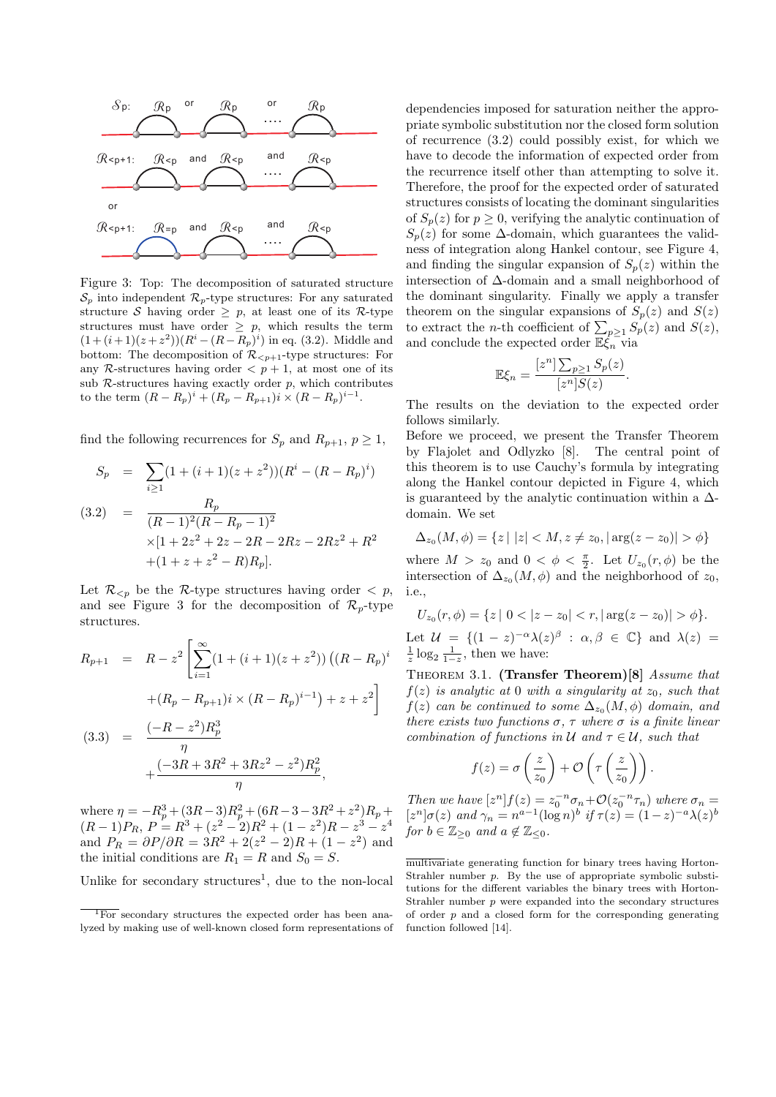

Figure 3: Top: The decomposition of saturated structure  $S_p$  into independent  $\mathcal{R}_p$ -type structures: For any saturated structure *S* having order  $\geq p$ , at least one of its *R*-type structures must have order  $\geq p$ , which results the term  $(1 + (i + 1)(z + z<sup>2</sup>))(R<sup>i</sup> – (R – R<sub>p</sub>)<sup>i</sup>)$  in eq. (3.2). Middle and bottom: The decomposition of  $\mathcal{R}_{\leq p+1}$ -type structures: For any *R*-structures having order  $\langle p+1, x \rangle$  at most one of its sub  $\mathcal{R}$ -structures having exactly order  $p$ , which contributes to the term  $(R - R_p)^i + (R_p - R_{p+1})i \times (R - R_p)^{i-1}$ .

find the following recurrences for  $S_p$  and  $R_{p+1}, p \geq 1$ ,

$$
S_p = \sum_{i \ge 1} (1 + (i + 1)(z + z^2))(R^i - (R - R_p)^i)
$$
  
(3.2) = 
$$
\frac{R_p}{(R-1)^2(R - R_p - 1)^2}
$$

$$
\times [1 + 2z^2 + 2z - 2R - 2Rz - 2Rz^2 + R^2 + (1 + z + z^2 - R)R_p].
$$

Let  $\mathcal{R}_{\leq p}$  be the *R*-type structures having order  $\leq p$ , and see Figure 3 for the decomposition of  $\mathcal{R}_p$ -type structures.

$$
R_{p+1} = R - z^2 \left[ \sum_{i=1}^{\infty} (1 + (i+1)(z+z^2)) \left( (R - R_p)^i \right) \right.
$$
  
 
$$
+ (R_p - R_{p+1}) i \times (R - R_p)^{i-1} + z + z^2 \right]
$$
  
(3.3) = 
$$
\frac{(-R - z^2) R_p^3}{\eta} + \frac{(-3R + 3R^2 + 3Rz^2 - z^2) R_p^2}{\eta},
$$

where  $\eta = -R_p^3 + (3R - 3)R_p^2 + (6R - 3 - 3R^2 + z^2)R_p +$  $(P(R-1)P_R, P = R^3 + (z^2 - 2)R^2 + (1 - z^2)R - z^3 - z^4$ and  $P_R = \partial P/\partial R = 3R^2 + 2(z^2 - 2)R + (1 - z^2)$  and the initial conditions are  $R_1 = R$  and  $S_0 = S$ .

Unlike for secondary structures<sup>1</sup>, due to the non-local

dependencies imposed for saturation neither the appropriate symbolic substitution nor the closed form solution of recurrence (3.2) could possibly exist, for which we have to decode the information of expected order from the recurrence itself other than attempting to solve it. Therefore, the proof for the expected order of saturated structures consists of locating the dominant singularities of  $S_p(z)$  for  $p \geq 0$ , verifying the analytic continuation of  $S_p(z)$  for some  $\Delta$ -domain, which guarantees the validness of integration along Hankel contour, see Figure 4, and finding the singular expansion of  $S_p(z)$  within the intersection of ∆-domain and a small neighborhood of the dominant singularity. Finally we apply a transfer theorem on the singular expansions of  $S_p(z)$  and  $S(z)$ to extract the *n*-th coefficient of  $\sum_{p\geq 1} S_p(z)$  and  $S(z)$ , and conclude the expected order E*ξ<sup>n</sup>* via

$$
\mathbb{E}\xi_n = \frac{[z^n] \sum_{p \ge 1} S_p(z)}{[z^n] S(z)}.
$$

The results on the deviation to the expected order follows similarly.

Before we proceed, we present the Transfer Theorem by Flajolet and Odlyzko [8]. The central point of this theorem is to use Cauchy's formula by integrating along the Hankel contour depicted in Figure 4, which is guaranteed by the analytic continuation within a  $\Delta$ domain. We set

$$
\Delta_{z_0}(M,\phi) = \{ z \mid |z| < M, z \neq z_0, |\arg(z - z_0)| > \phi \}
$$

where  $M > z_0$  and  $0 < \phi < \frac{\pi}{2}$ . Let  $U_{z_0}(r, \phi)$  be the intersection of  $\Delta_{z_0}(M, \phi)$  and the neighborhood of  $z_0$ , i.e.,

$$
U_{z_0}(r,\phi) = \{z \mid 0 < |z - z_0| < r, |\arg(z - z_0)| > \phi\}.
$$

Let  $\mathcal{U} = \{ (1 - z)^{-\alpha} \lambda(z)^{\beta} : \alpha, \beta \in \mathbb{C} \}$  and  $\lambda(z) = \frac{1}{z} \log_2 \frac{1}{1-z}$ , then we have:

Theorem 3.1. **(Transfer Theorem)[8]** *Assume that*  $f(z)$  *is analytic at* 0 *with a singularity at*  $z_0$ *, such that*  $f(z)$  *can be continued to some*  $\Delta_{z_0}(M, \phi)$  *domain, and there exists two functions*  $\sigma$ ,  $\tau$  *where*  $\sigma$  *is a finite linear combination of functions in*  $U$  *and*  $\tau \in U$ *, such that* 

$$
f(z) = \sigma\left(\frac{z}{z_0}\right) + \mathcal{O}\left(\tau\left(\frac{z}{z_0}\right)\right).
$$

*Then we have*  $[z^n] f(z) = z_0^{-n} \sigma_n + O(z_0^{-n} \tau_n)$  *where*  $\sigma_n =$  $[z^n] \sigma(z)$  *and*  $\gamma_n = n^{a-1} (\log n)^b$  *if*  $\tau(z) = (1-z)^{-a} \lambda(z)^b$ *for*  $b \in \mathbb{Z}_{\geq 0}$  *and*  $a \notin \mathbb{Z}_{\leq 0}$ *.* 

multivariate generating function for binary trees having Horton-Strahler number *p*. By the use of appropriate symbolic substitutions for the different variables the binary trees with Horton-Strahler number *p* were expanded into the secondary structures of order *p* and a closed form for the corresponding generating function followed [14].

<sup>&</sup>lt;sup>1</sup>For secondary structures the expected order has been analyzed by making use of well-known closed form representations of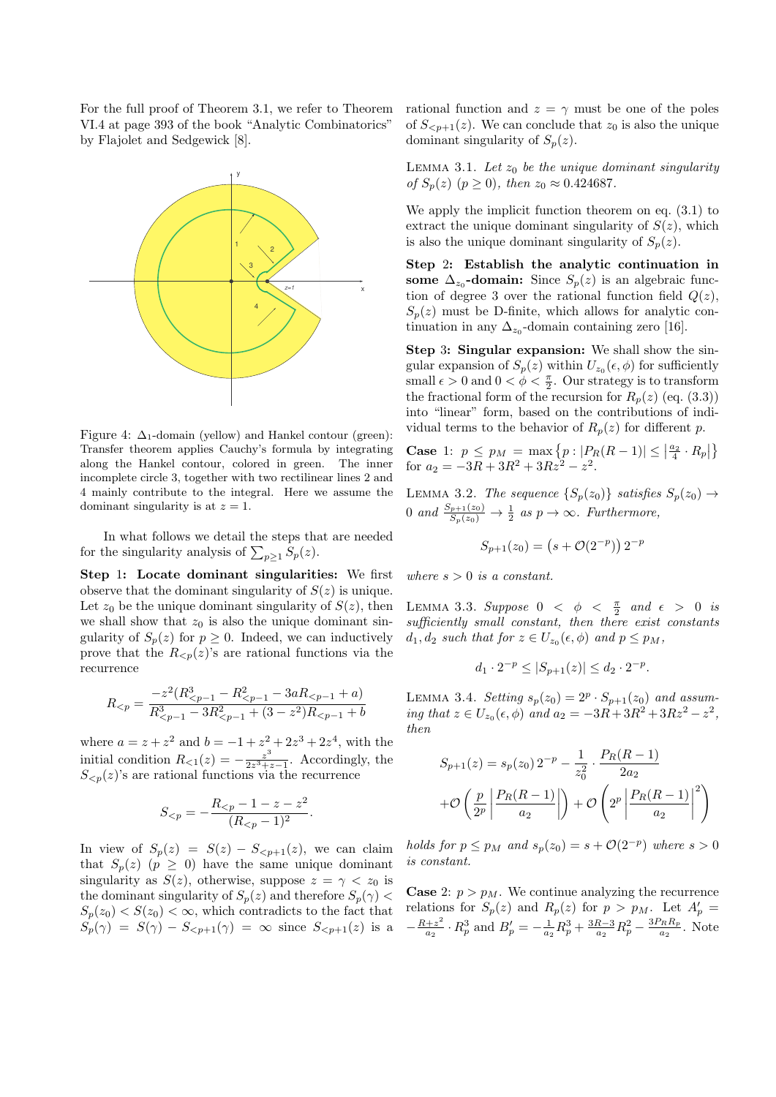For the full proof of Theorem 3.1, we refer to Theorem VI.4 at page 393 of the book "Analytic Combinatorics" by Flajolet and Sedgewick [8].



Figure 4:  $\Delta_1$ -domain (yellow) and Hankel contour (green): Transfer theorem applies Cauchy's formula by integrating along the Hankel contour, colored in green. The inner incomplete circle 3, together with two rectilinear lines 2 and 4 mainly contribute to the integral. Here we assume the dominant singularity is at  $z = 1$ .

In what follows we detail the steps that are needed for the singularity analysis of  $\sum_{p\geq 1} S_p(z)$ .

**Step** 1**: Locate dominant singularities:** We first observe that the dominant singularity of  $S(z)$  is unique. Let  $z_0$  be the unique dominant singularity of  $S(z)$ , then we shall show that  $z_0$  is also the unique dominant singularity of  $S_p(z)$  for  $p \geq 0$ . Indeed, we can inductively prove that the  $R_{\leq p}(z)$ 's are rational functions via the recurrence

$$
R_{
$$

where  $a = z + z^2$  and  $b = -1 + z^2 + 2z^3 + 2z^4$ , with the initial condition  $R_{\leq 1}(z) = -\frac{z^3}{2z^3 + z^4}$  $\frac{z^3}{2z^3+z-1}$ . Accordingly, the  $S_{\leq p}(z)$ 's are rational functions via the recurrence

$$
S_{\leq p} = -\frac{R_{\leq p} - 1 - z - z^2}{(R_{\leq p} - 1)^2}.
$$

In view of  $S_p(z) = S(z) - S_{\leq p+1}(z)$ , we can claim that  $S_p(z)$  ( $p \ge 0$ ) have the same unique dominant singularity as  $S(z)$ , otherwise, suppose  $z = \gamma < z_0$  is the dominant singularity of  $S_p(z)$  and therefore  $S_p(\gamma)$  $S_p(z_0) < S(z_0) < \infty$ , which contradicts to the fact that  $S_p(\gamma) = S(\gamma) - S_{\leq p+1}(\gamma) = \infty$  since  $S_{\leq p+1}(z)$  is a rational function and  $z = \gamma$  must be one of the poles of  $S_{\leq p+1}(z)$ . We can conclude that  $z_0$  is also the unique dominant singularity of  $S_p(z)$ .

LEMMA 3.1. Let  $z_0$  be the unique dominant singularity *of*  $S_p(z)$  ( $p \ge 0$ ), then  $z_0 \approx 0.424687$ .

We apply the implicit function theorem on eq. (3.1) to extract the unique dominant singularity of  $S(z)$ , which is also the unique dominant singularity of  $S_p(z)$ .

**Step** 2**: Establish the analytic continuation in some**  $\Delta_{z_0}$ -domain: Since  $S_p(z)$  is an algebraic function of degree 3 over the rational function field  $Q(z)$ ,  $S_p(z)$  must be D-finite, which allows for analytic continuation in any  $\Delta_{z_0}$ -domain containing zero [16].

**Step** 3**: Singular expansion:** We shall show the singular expansion of  $S_p(z)$  within  $U_{z_0}(\epsilon, \phi)$  for sufficiently small  $\epsilon > 0$  and  $0 < \phi < \frac{\pi}{2}$ . Our strategy is to transform the fractional form of the recursion for  $R_p(z)$  (eq. (3.3)) into "linear" form, based on the contributions of individual terms to the behavior of  $R_p(z)$  for different *p*.

**Case** 1:  $p \leq p_M = \max\{p : |P_R(R-1)| \leq \left|\frac{a_2}{4} \cdot R_p\right|\}$ for  $a_2 = -3R + 3R^2 + 3Rz^2 - z^2$ .

LEMMA 3.2. *The sequence*  $\{S_p(z_0)\}\$  *satisfies*  $S_p(z_0) \rightarrow$ 0 and  $\frac{S_{p+1}(z_0)}{S_p(z_0)} \to \frac{1}{2}$  as  $p \to \infty$ . Furthermore,

$$
S_{p+1}(z_0) = (s + \mathcal{O}(2^{-p})) 2^{-p}
$$

*where*  $s > 0$  *is a constant.* 

LEMMA 3.3. *Suppose*  $0 < \phi < \frac{\pi}{2}$  and  $\epsilon > 0$  is *sufficiently small constant, then there exist constants*  $d_1, d_2$  *such that for*  $z \in U_{z_0}(\epsilon, \phi)$  *and*  $p \leq p_M$ *,* 

$$
d_1 \cdot 2^{-p} \le |S_{p+1}(z)| \le d_2 \cdot 2^{-p}.
$$

LEMMA 3.4. *Setting*  $s_p(z_0) = 2^p \cdot S_{p+1}(z_0)$  *and assuming that*  $z \in U_{z_0}(\epsilon, \phi)$  *and*  $a_2 = -3R + 3R^2 + 3Rz^2 - z^2$ , *then*

$$
S_{p+1}(z) = s_p(z_0) 2^{-p} - \frac{1}{z_0^2} \cdot \frac{P_R(R-1)}{2a_2}
$$

$$
+ \mathcal{O}\left(\frac{p}{2^p} \left| \frac{P_R(R-1)}{a_2} \right|\right) + \mathcal{O}\left(2^p \left| \frac{P_R(R-1)}{a_2} \right|^2\right)
$$

*holds for*  $p \leq p_M$  *and*  $s_p(z_0) = s + O(2^{-p})$  *where*  $s > 0$ *is constant.*

**Case** 2:  $p > p_M$ . We continue analyzing the recurrence relations for  $S_p(z)$  and  $R_p(z)$  for  $p > p_M$ . Let  $A'_p =$ *− R*+*z* 2  $\frac{a_1 + a_2}{a_2} \cdot R_p^3$  and  $B'_p = -\frac{1}{a_2}R_p^3 + \frac{3R-3}{a_2}R_p^2 - \frac{3P_RR_p}{a_2}$  $\frac{r_R R_p}{a_2}$ . Note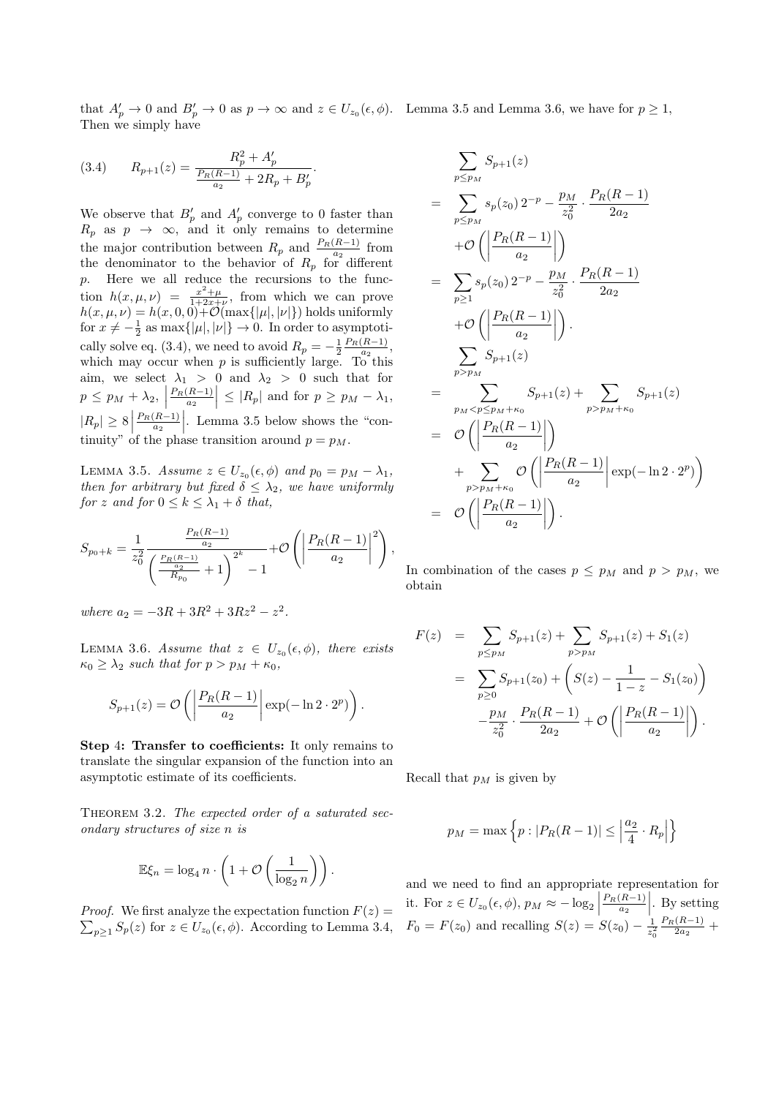that  $A'_p \to 0$  and  $B'_p \to 0$  as  $p \to \infty$  and  $z \in U_{z_0}(\epsilon, \phi)$ . Lemma 3.5 and Lemma 3.6, we have for  $p \ge 1$ , Then we simply have

(3.4) 
$$
R_{p+1}(z) = \frac{R_p^2 + A'_p}{\frac{P_R(R-1)}{a_2} + 2R_p + B'_p}.
$$

We observe that  $B'_p$  and  $A'_p$  converge to 0 faster than  $R_p$  as  $p \rightarrow \infty$ , and it only remains to determine the major contribution between  $R_p$  and  $\frac{P_R(R-1)}{a_2}$  from the denominator to the behavior of  $R_p$  for different *p*. Here we all reduce the recursions to the function  $h(x, \mu, \nu) = \frac{x^2 + \mu}{1 + 2x + \nu}$ , from which we can prove  $h(x, \mu, \nu) = h(x, 0, 0) + \mathcal{O}(\max\{|\mu|, |\nu|\})$  holds uniformly for  $x \neq -\frac{1}{2}$  as  $\max\{|\mu|, |\nu|\} \to 0$ . In order to asymptotically solve eq. (3.4), we need to avoid  $R_p = -\frac{1}{2} \frac{P_R(R-1)}{a_2}$ , which may occur when  $p$  is sufficiently large. To this aim, we select  $\lambda_1 > 0$  and  $\lambda_2 > 0$  such that for  $p \leq p_M + \lambda_2,$ *PR*(*R−*1) *a*<sup>2</sup>  $\left| \leq |R_p| \text{ and for } p \geq p_M - \lambda_1,$  $|R_p|$  ≥ 8<sup>*|*</sup> *P<sub>R</sub>*(*R*−1) *a*<sub>2</sub>  $\vert$ . Lemma 3.5 below shows the "continuity" of the phase transition around  $p = p_M$ .

*LEMMA* 3.5. *Assume*  $z \in U_{z_0}(\epsilon, \phi)$  *and*  $p_0 = p_M - \lambda_1$ *, then for arbitrary but fixed*  $\delta \leq \lambda_2$ *, we have uniformly for z and for*  $0 \leq k \leq \lambda_1 + \delta$  *that,* 

$$
S_{p_0+k} = \frac{1}{z_0^2} \frac{\frac{P_R(R-1)}{a_2}}{\left(\frac{\frac{P_R(R-1)}{a_2}}{R_{p_0}} + 1\right)^{2^k} - 1} + \mathcal{O}\left(\left|\frac{P_R(R-1)}{a_2}\right|^2\right),
$$

where 
$$
a_2 = -3R + 3R^2 + 3Rz^2 - z^2
$$
.

LEMMA 3.6. *Assume that*  $z \in U_{z_0}(\epsilon, \phi)$ , there exists  $\kappa_0 \geq \lambda_2$  *such that for*  $p > p_M + \kappa_0$ ,

$$
S_{p+1}(z) = \mathcal{O}\left(\left|\frac{P_R(R-1)}{a_2}\right| \exp(-\ln 2 \cdot 2^p)\right).
$$

**Step** 4**: Transfer to coefficients:** It only remains to translate the singular expansion of the function into an asymptotic estimate of its coefficients.

THEOREM 3.2. The expected order of a saturated sec*ondary structures of size n is*

$$
\mathbb{E}\xi_n = \log_4 n \cdot \left(1 + \mathcal{O}\left(\frac{1}{\log_2 n}\right)\right).
$$

*Proof.* We first analyze the expectation function  $F(z) =$  $\sum_{p\geq 1}$  *S*<sup>*p*</sup>(*z*) for *z* ∈ *U*<sub>*z*0</sub>( $\epsilon$ *, ϕ*). According to Lemma 3.4,

$$
\sum_{p \leq p_M} S_{p+1}(z) \n= \sum_{p \leq p_M} s_p(z_0) 2^{-p} - \frac{p_M}{z_0^2} \cdot \frac{P_R(R-1)}{2a_2} \n+ \mathcal{O}\left(\left|\frac{P_R(R-1)}{a_2}\right|\right) \n= \sum_{p \geq 1} s_p(z_0) 2^{-p} - \frac{p_M}{z_0^2} \cdot \frac{P_R(R-1)}{2a_2} \n+ \mathcal{O}\left(\left|\frac{P_R(R-1)}{a_2}\right|\right) \n= \sum_{p > p_M} S_{p+1}(z) \n= \sum_{p_M < p \leq p_M + \kappa_0} S_{p+1}(z) + \sum_{p > p_M + \kappa_0} S_{p+1}(z) \n= \mathcal{O}\left(\left|\frac{P_R(R-1)}{a_2}\right|\right) \n+ \sum_{p > p_M + \kappa_0} \mathcal{O}\left(\left|\frac{P_R(R-1)}{a_2}\right|\right) \exp(-\ln 2 \cdot 2^p) \n= \mathcal{O}\left(\left|\frac{P_R(R-1)}{a_2}\right|\right).
$$

In combination of the cases  $p \leq p_M$  and  $p > p_M$ , we obtain

$$
F(z) = \sum_{p \le p_M} S_{p+1}(z) + \sum_{p > p_M} S_{p+1}(z) + S_1(z)
$$
  
= 
$$
\sum_{p \ge 0} S_{p+1}(z_0) + \left( S(z) - \frac{1}{1-z} - S_1(z_0) \right)
$$
  

$$
- \frac{p_M}{z_0^2} \cdot \frac{P_R(R-1)}{2a_2} + \mathcal{O}\left( \left| \frac{P_R(R-1)}{a_2} \right| \right).
$$

Recall that  $p_M$  is given by

$$
p_M = \max\left\{p : |P_R(R-1)| \le \left|\frac{a_2}{4} \cdot R_p\right|\right\}
$$

and we need to find an appropriate representation for it. For  $z \in U_{z_0}(\epsilon, \phi)$ ,  $p_M \approx -\log_2 |\phi|$ *P*<sup>*R*</sup>(*R−*1) *a*<sub>2</sub>  $\Big|$ . By setting  $F_0 = F(z_0)$  and recalling  $S(z) = S(z_0) - \frac{1}{z_0^2} \frac{P_R(R-1)}{2a_2} +$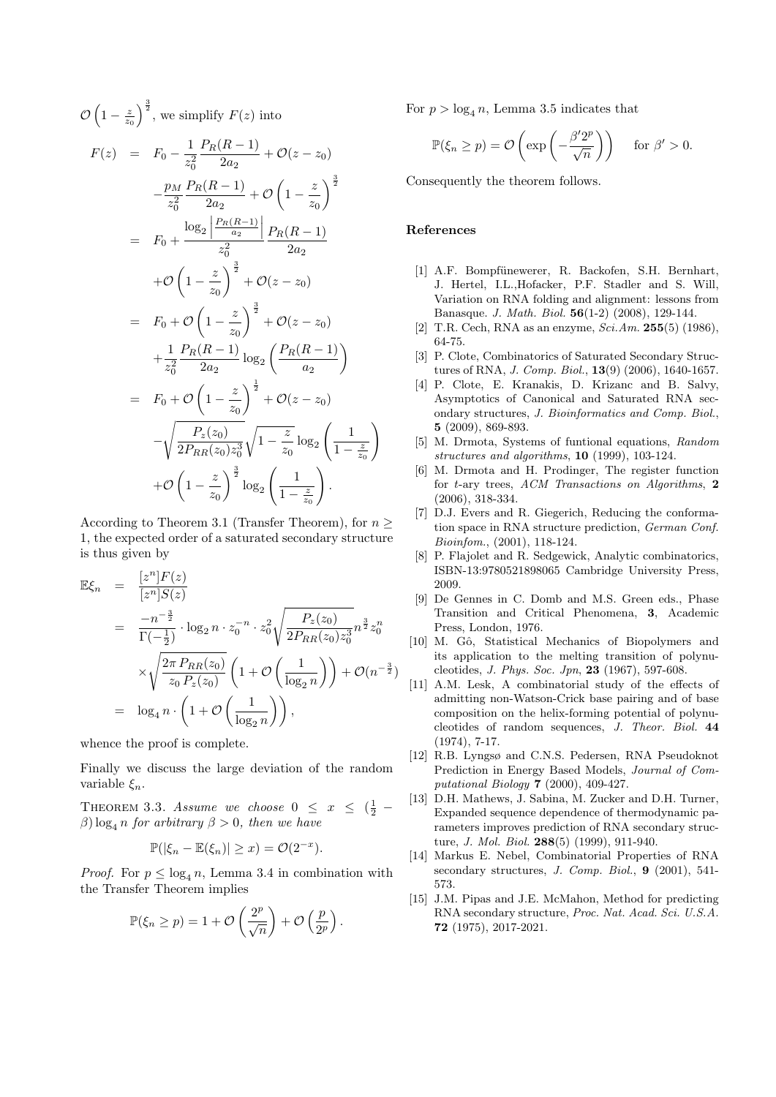$$
\mathcal{O}\left(1-\frac{z}{z_0}\right)^{\frac{3}{2}}, \text{ we simplify } F(z) \text{ into}
$$
\n
$$
F(z) = F_0 - \frac{1}{z_0^2} \frac{P_R(R-1)}{2a_2} + \mathcal{O}(z-z_0)
$$
\n
$$
-\frac{p_M}{z_0^2} \frac{P_R(R-1)}{2a_2} + \mathcal{O}\left(1-\frac{z}{z_0}\right)^{\frac{3}{2}}
$$
\n
$$
= F_0 + \frac{\log_2\left|\frac{P_R(R-1)}{a_2}\right|}{z_0^2} \frac{P_R(R-1)}{2a_2}
$$
\n
$$
+ \mathcal{O}\left(1-\frac{z}{z_0}\right)^{\frac{3}{2}} + \mathcal{O}(z-z_0)
$$
\n
$$
= F_0 + \mathcal{O}\left(1-\frac{z}{z_0}\right)^{\frac{3}{2}} + \mathcal{O}(z-z_0)
$$
\n
$$
+ \frac{1}{z_0^2} \frac{P_R(R-1)}{2a_2} \log_2\left(\frac{P_R(R-1)}{a_2}\right)
$$
\n
$$
= F_0 + \mathcal{O}\left(1-\frac{z}{z_0}\right)^{\frac{1}{2}} + \mathcal{O}(z-z_0)
$$
\n
$$
-\sqrt{\frac{P_z(z_0)}{2P_{RR}(z_0)z_0^3}}\sqrt{1-\frac{z}{z_0}} \log_2\left(\frac{1}{1-\frac{z}{z_0}}\right).
$$

According to Theorem 3.1 (Transfer Theorem), for *n ≥* 1, the expected order of a saturated secondary structure is thus given by

$$
\mathbb{E}\xi_n = \frac{[z^n]F(z)}{[z^n]S(z)} \n= \frac{-n^{-\frac{3}{2}}}{\Gamma(-\frac{1}{2})} \cdot \log_2 n \cdot z_0^{-n} \cdot z_0^2 \sqrt{\frac{P_z(z_0)}{2P_{RR}(z_0)z_0^3}n^{\frac{3}{2}}z_0^n} \n\times \sqrt{\frac{2\pi P_{RR}(z_0)}{z_0 P_z(z_0)}} \left(1 + \mathcal{O}\left(\frac{1}{\log_2 n}\right)\right) + \mathcal{O}(n^{-\frac{3}{2}}) \n= \log_4 n \cdot \left(1 + \mathcal{O}\left(\frac{1}{\log_2 n}\right)\right),
$$

whence the proof is complete.

Finally we discuss the large deviation of the random variable *ξn*.

THEOREM 3.3. *Assume we choose*  $0 \leq x \leq (\frac{1}{2} \beta$ ) log<sub>4</sub> *n for arbitrary*  $\beta > 0$ *, then we have* 

$$
\mathbb{P}(|\xi_n - \mathbb{E}(\xi_n)| \geq x) = \mathcal{O}(2^{-x}).
$$

*Proof.* For  $p \leq \log_4 n$ , Lemma 3.4 in combination with the Transfer Theorem implies

$$
\mathbb{P}(\xi_n \geq p) = 1 + \mathcal{O}\left(\frac{2^p}{\sqrt{n}}\right) + \mathcal{O}\left(\frac{p}{2^p}\right).
$$

For  $p > \log_4 n$ , Lemma 3.5 indicates that

$$
\mathbb{P}(\xi_n \ge p) = \mathcal{O}\left(\exp\left(-\frac{\beta' 2^p}{\sqrt{n}}\right)\right) \quad \text{ for } \beta' > 0.
$$

Consequently the theorem follows.

#### **References**

 $\setminus$ 

- [1] A.F. Bompfünewerer, R. Backofen, S.H. Bernhart, J. Hertel, I.L.,Hofacker, P.F. Stadler and S. Will, Variation on RNA folding and alignment: lessons from Banasque. *J. Math. Biol.* **56**(1-2) (2008), 129-144.
- [2] T.R. Cech, RNA as an enzyme, *Sci.Am.* **255**(5) (1986), 64-75.
- [3] P. Clote, Combinatorics of Saturated Secondary Structures of RNA, *J. Comp. Biol.*, **13**(9) (2006), 1640-1657.
- [4] P. Clote, E. Kranakis, D. Krizanc and B. Salvy, Asymptotics of Canonical and Saturated RNA secondary structures, *J. Bioinformatics and Comp. Biol.*, **5** (2009), 869-893.
- [5] M. Drmota, Systems of funtional equations, *Random structures and algorithms*, **10** (1999), 103-124.
- [6] M. Drmota and H. Prodinger, The register function for *t*-ary trees, *ACM Transactions on Algorithms*, **2** (2006), 318-334.
- [7] D.J. Evers and R. Giegerich, Reducing the conformation space in RNA structure prediction, *German Conf. Bioinfom.*, (2001), 118-124.
- [8] P. Flajolet and R. Sedgewick, Analytic combinatorics, ISBN-13:9780521898065 Cambridge University Press, 2009.
- [9] De Gennes in C. Domb and M.S. Green eds., Phase Transition and Critical Phenomena, **3**, Academic Press, London, 1976.
- [10] M. Gô, Statistical Mechanics of Biopolymers and its application to the melting transition of polynucleotides, *J. Phys. Soc. Jpn*, **23** (1967), 597-608.
- [11] A.M. Lesk, A combinatorial study of the effects of admitting non-Watson-Crick base pairing and of base composition on the helix-forming potential of polynucleotides of random sequences, *J. Theor. Biol.* **44** (1974), 7-17.
- [12] R.B. Lyngsø and C.N.S. Pedersen, RNA Pseudoknot Prediction in Energy Based Models, *Journal of Computational Biology* **7** (2000), 409-427.
- [13] D.H. Mathews, J. Sabina, M. Zucker and D.H. Turner, Expanded sequence dependence of thermodynamic parameters improves prediction of RNA secondary structure, *J. Mol. Biol.* **288**(5) (1999), 911-940.
- [14] Markus E. Nebel, Combinatorial Properties of RNA secondary structures, *J. Comp. Biol.*, **9** (2001), 541- 573.
- [15] J.M. Pipas and J.E. McMahon, Method for predicting RNA secondary structure, *Proc. Nat. Acad. Sci. U.S.A.* **72** (1975), 2017-2021.